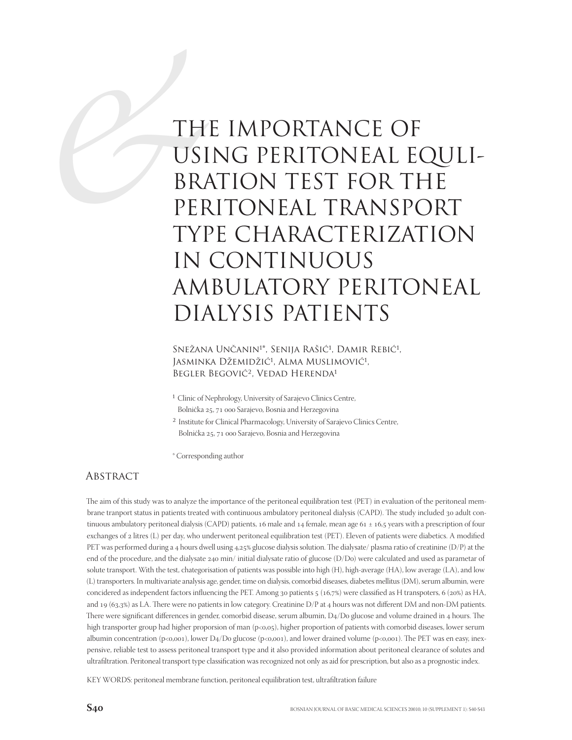# TH<br>USI<br>BR/<br>PEF<br>TYI THE IMPORTANCE OF USING PERITONEAL EQULI-BRATION TEST FOR THE PERITONEAL TRANSPORT TYPE CHARACTERIZATION IN CONTINUOUS AMBULATORY PERITONEAL DIALYSIS PATIENTS

Snežana Unčanin<sup>1\*</sup>, Senija Rašić<sup>1</sup>, Damir Rebić<sup>1</sup>, Jasminka Džemidžić<sup>1</sup>, Alma Muslimović<sup>1</sup>, BEGLER BEGOVIĆ<sup>2</sup>, VEDAD HERENDA<sup>1</sup>

- 1 Clinic of Nephrology, University of Sarajevo Clinics Centre, Bolnička 25, 71 000 Sarajevo, Bosnia and Herzegovina
- 2 Institute for Clinical Pharmacology, University of Sarajevo Clinics Centre, Bolnička 25, 71 000 Sarajevo, Bosnia and Herzegovina
- \* Corresponding author

## **ABSTRACT**

The aim of this study was to analyze the importance of the peritoneal equilibration test (PET) in evaluation of the peritoneal membrane tranport status in patients treated with continuous ambulatory peritoneal dialysis (CAPD). The study included 30 adult continuous ambulatory peritoneal dialysis (CAPD) patients, 16 male and 14 female, mean age  $61 \pm 16.5$  years with a prescription of four exchanges of 2 litres (L) per day, who underwent peritoneal equilibration test (PET). Eleven of patients were diabetics. A modified PET was performed during a 4 hours dwell using 4,25% glucose dialysis solution. The dialysate/ plasma ratio of creatinine (D/P) at the end of the procedure, and the dialysate 240 min/ initial dialysate ratio of glucose (D/Do) were calculated and used as parametar of solute transport. With the test, chategorisation of patients was possible into high (H), high-average (HA), low average (LA), and low (L) transporters. In multivariate analysis age, gender, time on dialysis, comorbid diseases, diabetes mellitus (DM), serum albumin, were concidered as independent factors influencing the PET. Among 30 patients 5 (16,7%) were classified as H transpoters, 6 (20%) as HA, and 19 (63,3%) as LA. There were no patients in low category. Creatinine  $D/P$  at 4 hours was not different DM and non-DM patients. There were significant differences in gender, comorbid disease, serum albumin, D4/Do glucose and volume drained in 4 hours. The high transporter group had higher proporsion of man (p<0,05), higher proportion of patients with comorbid diseases, lower serum albumin concentration (p<0,001), lower D4/Do glucose (p<0,001), and lower drained volume (p<0,001). The PET was en easy, inexpensive, reliable test to assess peritoneal transport type and it also provided information about peritoneal clearance of solutes and ultrafiltration. Peritoneal transport type classification was recognized not only as aid for prescription, but also as a prognostic index.

KEY WORDS: peritoneal membrane function, peritoneal equilibration test, ultrafiltration failure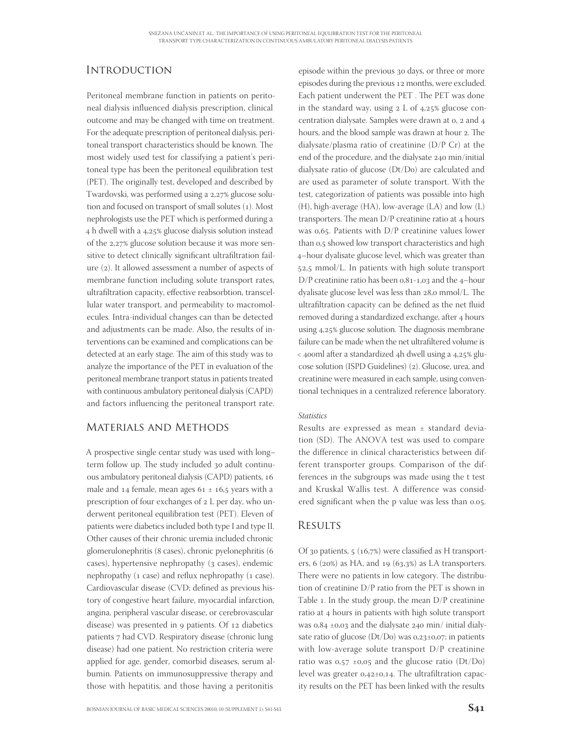# **INTRODUCTION**

Peritoneal membrane function in patients on peritoneal dialysis influenced dialysis prescription, clinical outcome and may be changed with time on treatment. For the adequate prescription of peritoneal dialysis, peritoneal transport characteristics should be known. The most widely used test for classifying a patient's peritoneal type has been the peritoneal equilibration test (PET). The originally test, developed and described by Twardovski, was performed using a 2,27% glucose solution and focused on transport of small solutes (1). Most nephrologists use the PET which is performed during a 4 h dwell with a 4,25% glucose dialysis solution instead of the 2,27% glucose solution because it was more sensitive to detect clinically significant ultrafiltration failure (2). It allowed assessment a number of aspects of membrane function including solute transport rates, ultrafiltration capacity, effective reabsorbtion, transcellular water transport, and permeability to macromolecules. Intra-individual changes can than be detected and adjustments can be made. Also, the results of interventions can be examined and complications can be detected at an early stage. The aim of this study was to analyze the importance of the PET in evaluation of the peritoneal membrane tranport status in patients treated with continuous ambulatory peritoneal dialysis (CAPD) and factors influencing the peritoneal transport rate.

## Materials and Methods

A prospective single centar study was used with long– term follow up. The study included 30 adult continuous ambulatory peritoneal dialysis (CAPD) patients, male and 14 female, mean ages  $61 \pm 16.5$  years with a prescription of four exchanges of  $2$  L per day, who underwent peritoneal equilibration test (PET). Eleven of patients were diabetics included both type I and type II. Other causes of their chronic uremia included chronic glomerulonephritis (8 cases), chronic pyelonephritis (6 cases), hypertensive nephropathy (3 cases), endemic nephropathy (1 case) and reflux nephropathy (1 case). Cardiovascular disease (CVD; defined as previous history of congestive heart failure, myocardial infarction, angina, peripheral vascular disease, or cerebrovascular disease) was presented in 9 patients. Of 12 diabetics patients 7 had CVD. Respiratory disease (chronic lung disease) had one patient. No restriction criteria were applied for age, gender, comorbid diseases, serum albumin. Patients on immunosuppressive therapy and those with hepatitis, and those having a peritonitis

episode within the previous 30 days, or three or more episodes during the previous 12 months, were excluded. Each patient underwent the PET. The PET was done in the standard way, using  $2 L$  of  $4,25\%$  glucose concentration dialysate. Samples were drawn at 0, 2 and 4 hours, and the blood sample was drawn at hour 2. The dialysate/plasma ratio of creatinine (D/P Cr) at the end of the procedure, and the dialysate 240 min/initial dialysate ratio of glucose (Dt/Do) are calculated and are used as parameter of solute transport. With the test, categorization of patients was possible into high (H), high-average (HA), low-average (LA) and low (L) transporters. The mean  $D/P$  creatinine ratio at 4 hours was 0,65. Patients with  $D/P$  creatinine values lower than 0,5 showed low transport characteristics and high –hour dyalisate glucose level, which was greater than 52,5 mmol/L. In patients with high solute transport  $D/P$  creatinine ratio has been 0,81-1,03 and the 4-hour dyalisate glucose level was less than 28,0 mmol/L. The ultrafiltration capacity can be defined as the net fluid removed during a standardized exchange, after 4 hours using 4,25% glucose solution. The diagnosis membrane failure can be made when the net ultrafiltered volume is < 400ml after a standardized 4h dwell using a 4,25% glucose solution (ISPD Guidelines) (2). Glucose, urea, and creatinine were measured in each sample, using conventional techniques in a centralized reference laboratory.

### Statistics

Results are expressed as mean ± standard deviation (SD). The ANOVA test was used to compare the difference in clinical characteristics between different transporter groups. Comparison of the differences in the subgroups was made using the t test and Kruskal Wallis test. A difference was considered significant when the p value was less than 0.05.

## **RESULTS**

Of 30 patients,  $5(16,7%)$  were classified as H transporters, 6 (20%) as HA, and 19 (63,3%) as LA transporters. There were no patients in low category. The distribution of creatinine D/P ratio from the PET is shown in Table 1. In the study group, the mean  $D/P$  creatinine ratio at 4 hours in patients with high solute transport was  $0.84 \pm 0.03$  and the dialysate 240 min/ initial dialysate ratio of glucose  $(Dt/Do)$  was  $0.23\pm0.07$ ; in patients with low-average solute transport D/P creatinine ratio was  $0.57 \pm 0.05$  and the glucose ratio (Dt/Do) level was greater  $0.42 \pm 0.14$ . The ultrafiltration capacity results on the PET has been linked with the results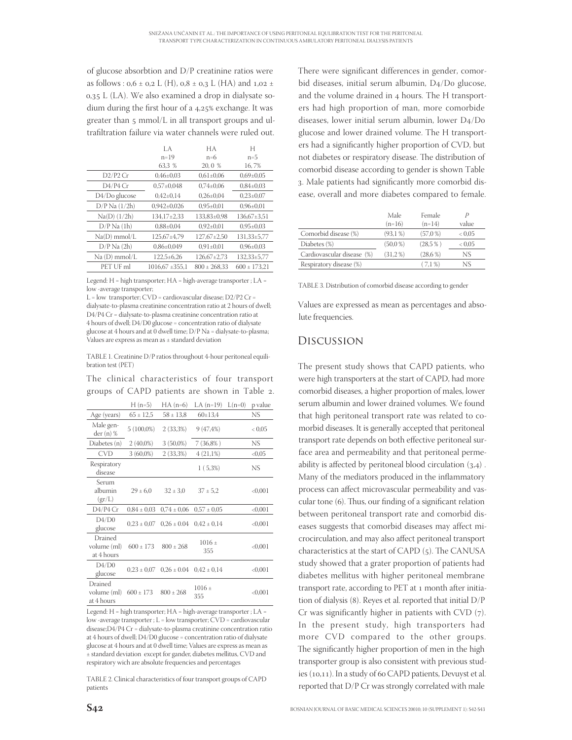of glucose absorbtion and D/P creatinine ratios were as follows :  $0.6 \pm 0.2$  L (H),  $0.8 \pm 0.3$  L (HA) and  $1.02 \pm 1.6$  $0.35$  L (LA). We also examined a drop in dialysate sodium during the first hour of a 4,25% exchange. It was greater than  $\frac{1}{2}$  mmol/L in all transport groups and ultrafiltration failure via water channels were ruled out.

|                   | LA.                 | НA                | Н                 |
|-------------------|---------------------|-------------------|-------------------|
|                   | $n = 19$            | $n=6$             | $n=5$             |
|                   | 63,3 %              | 20, 0 %           | 16,7%             |
| $D2/P2$ Cr        | $0.46 \pm 0.03$     | $0.61 \pm 0.06$   | $0.69 \pm 0.05$   |
| D4/P4 Cr          | $0.57 \pm 0.048$    | $0.74 \pm 0.06$   | $0.84 \pm 0.03$   |
| D4/Do glucose     | $0.42 \pm 0.14$     | $0.26 \pm 0.04$   | $0.23 \pm 0.07$   |
| $D/P$ Na $(1/2h)$ | $0.942 \pm 0.026$   | $0.95 \pm 0.01$   | $0.96 \pm 0.01$   |
| $Na(D)$ $(1/2h)$  | 134.17±2.33         | $133.83\pm0.98$   | $136.67 \pm 3.51$ |
| $D/P$ Na $(1h)$   | $0.88 \pm 0.04$     | $0.92 \pm 0.01$   | $0.95 \pm 0.03$   |
| $Na(D)$ mmol/L    | 125,67±4,79         | $127.67 \pm 2.50$ | $131,33\pm5,77$   |
| $D/P$ Na $(2h)$   | $0.86 \pm 0.049$    | $0.91 \pm 0.01$   | $0.96 \pm 0.03$   |
| Na (D) mmol/L     | $122.5 \pm 6.26$    | $126.67 \pm 2.73$ | 132,33±5,77       |
| PET UF ml         | $1016.67 \pm 355.1$ | $800 \pm 268.33$  | $600 \pm 173.21$  |

Legend: H = high transporter; HA = high-average transporter ; LA = low -average transporter;

L = low transporter; CVD = cardiovascular disease; D2/P2 Cr = dialysate-to-plasma creatinine concentration ratio at 2 hours of dwell; D4/P4 Cr = dialysate-to-plasma creatinine concentration ratio at 4 hours of dwell; D4/D0 glucose = concentration ratio of dialysate glucose at 4 hours and at 0 dwell time; D/P Na = dialysate-to-plasma; Values are express as mean as ± standard deviation

TABLE 1. Creatinine D/P ratios throughout 4-hour peritoneal equilibration test (PET)

The clinical characteristics of four transport groups of CAPD patients are shown in Table .

|                                      | $H(n=5)$        | $HA$ (n=6)      | LA $(n=19)$                     | $L(n=0)$ | p value |
|--------------------------------------|-----------------|-----------------|---------------------------------|----------|---------|
| Age (years)                          | $65 \pm 12.5$   | $58 \pm 13.8$   | $60 \pm 13.4$                   |          | NS      |
| Male gen-<br>der (n) %               | $5(100,0\%)$    | $2(33,3\%)$     | $9(47, 4\%)$                    |          | < 0.05  |
| Diabetes (n)                         | $2(40,0\%)$     | $3(50,0\%)$     | $7(36,8\%)$                     |          | NS.     |
| <b>CVD</b>                           | $3(60,0\%)$     | 2 (33,3%)       | $4(21,1\%)$                     |          | < 0.05  |
| Respiratory<br>disease               |                 |                 | $1(5,3\%)$                      |          | NS      |
| Serum<br>albumin<br>(gr/L)           | $29 \pm 6.0$    | $32 \pm 3.0$    | $37 \pm 5.2$                    |          | < 0.001 |
| D4/P4 Cr                             | $0.84 \pm 0.03$ | $0.74 \pm 0.06$ | $0.57 \pm 0.05$                 |          | < 0.001 |
| D4/D0<br>glucose                     | $0.23 \pm 0.07$ |                 | $0.26 \pm 0.04$ $0.42 \pm 0.14$ |          | < 0.001 |
| Drained<br>volume (ml)<br>at 4 hours | $600 \pm 173$   | $800 \pm 268$   | $1016 \pm$<br>355               |          | <0,001  |
| D4/D0<br>glucose                     | $0.23 \pm 0.07$ | $0.26 \pm 0.04$ | $0.42 \pm 0.14$                 |          | < 0.001 |
| Drained<br>volume (ml)<br>at 4 hours | $600 \pm 173$   | $800 \pm 268$   | $1016 \pm$<br>355               |          | < 0.001 |

Legend: H = high transporter; HA = high-average transporter ; LA = low -average transporter ; L = low transporter; CVD = cardiovascular disease;D4/P4 Cr = dialysate-to-plasma creatinine concentration ratio at 4 hours of dwell; D4/D0 glucose = concentration ratio of dialysate glucose at 4 hours and at 0 dwell time; Values are express as mean as ± standard deviation except for gander, diabetes mellitus, CVD and respiratory wich are absolute frequencies and percentages

TABLE 2. Clinical characteristics of four transport groups of CAPD patients

There were significant differences in gender, comorbid diseases, initial serum albumin,  $D<sub>4</sub>/D<sub>0</sub>$  glucose, and the volume drained in 4 hours. The H transporters had high proportion of man, more comorbide diseases, lower initial serum albumin, lower  $D4/D0$ glucose and lower drained volume. The H transporters had a significantly higher proportion of CVD, but not diabetes or respiratory disease. The distribution of comorbid disease according to gender is shown Table 3. Male patients had significantly more comorbid disease, overall and more diabetes compared to female.

|                            | Male<br>$(n=16)$ | Female<br>$(n=14)$ | value             |
|----------------------------|------------------|--------------------|-------------------|
| Comorbid disease (%)       | (93,1%           | (57.0%             | 0.05 <sub>0</sub> |
| Diabetes (%)               | $(50.0\,\% )$    | $(28.5\%)$         | < 0.05            |
| Cardiovascular disease (%) | (31,2%           | $(28.6\,\% )$      | NS.               |
| Respiratory disease (%)    |                  | (7,1%              | NS                |

TABLE 3. Distribution of comorbid disease according to gender

Values are expressed as mean as percentages and absolute frequencies.

## Discussion

The present study shows that CAPD patients, who were high transporters at the start of CAPD, had more comorbid diseases, a higher proportion of males, lower serum albumin and lower drained volumes. We found that high peritoneal transport rate was related to comorbid diseases. It is generally accepted that peritoneal transport rate depends on both effective peritoneal surface area and permeability and that peritoneal permeability is affected by peritoneal blood circulation  $(3,4)$ . Many of the mediators produced in the inflammatory process can affect microvascular permeability and vascular tone  $(6)$ . Thus, our finding of a significant relation between peritoneal transport rate and comorbid diseases suggests that comorbid diseases may affect microcirculation, and may also affect peritoneal transport characteristics at the start of CAPD (5). The CANUSA study showed that a grater proportion of patients had diabetes mellitus with higher peritoneal membrane transport rate, according to PET at 1 month after initiation of dialysis  $(8)$ . Reyes et al. reported that initial  $D/P$ Cr was significantly higher in patients with CVD  $(7)$ . In the present study, high transporters had more CVD compared to the other groups. The significantly higher proportion of men in the high transporter group is also consistent with previous studies  $(10, 11)$ . In a study of 60 CAPD patients, Devuyst et al. reported that D/P Cr was strongly correlated with male